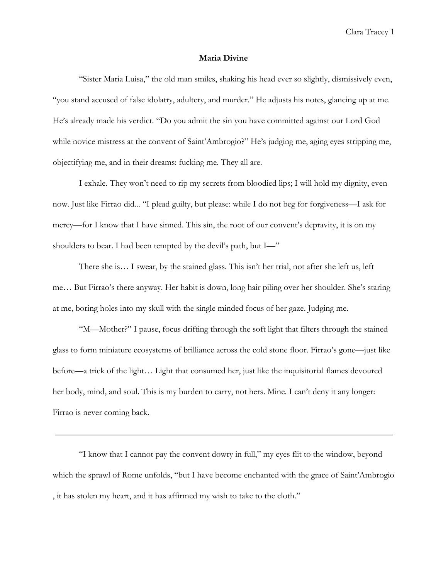## **Maria Divine**

"Sister Maria Luisa," the old man smiles, shaking his head ever so slightly, dismissively even, "you stand accused of false idolatry, adultery, and murder." He adjusts his notes, glancing up at me. He's already made his verdict. "Do you admit the sin you have committed against our Lord God while novice mistress at the convent of Saint'Ambrogio?" He's judging me, aging eyes stripping me, objectifying me, and in their dreams: fucking me. They all are.

I exhale. They won't need to rip my secrets from bloodied lips; I will hold my dignity, even now. Just like Firrao did... "I plead guilty, but please: while I do not beg for forgiveness—I ask for mercy—for I know that I have sinned. This sin, the root of our convent's depravity, it is on my shoulders to bear. I had been tempted by the devil's path, but I—"

There she is… I swear, by the stained glass. This isn't her trial, not after she left us, left me… But Firrao's there anyway. Her habit is down, long hair piling over her shoulder. She's staring at me, boring holes into my skull with the single minded focus of her gaze. Judging me.

"M—Mother?" I pause, focus drifting through the soft light that filters through the stained glass to form miniature ecosystems of brilliance across the cold stone floor. Firrao's gone—just like before—a trick of the light… Light that consumed her, just like the inquisitorial flames devoured her body, mind, and soul. This is my burden to carry, not hers. Mine. I can't deny it any longer: Firrao is never coming back.

"I know that I cannot pay the convent dowry in full," my eyes flit to the window, beyond which the sprawl of Rome unfolds, "but I have become enchanted with the grace of Saint'Ambrogio , it has stolen my heart, and it has affirmed my wish to take to the cloth."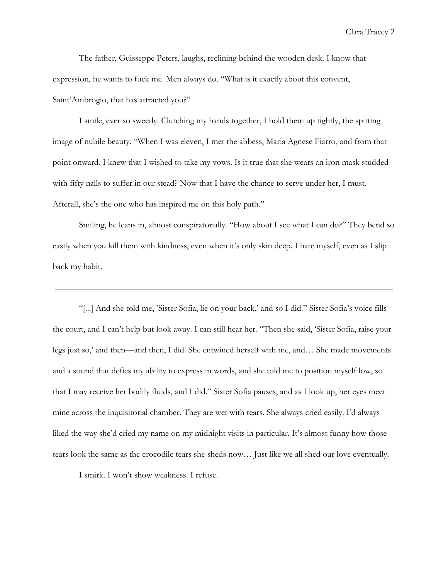The father, Guisseppe Peters, laughs, reclining behind the wooden desk. I know that expression, he wants to fuck me. Men always do. "What is it exactly about this convent, Saint'Ambrogio, that has attracted you?"

I smile, ever so sweetly. Clutching my hands together, I hold them up tightly, the spitting image of nubile beauty. "When I was eleven, I met the abbess, Maria Agnese Fiarro, and from that point onward, I knew that I wished to take my vows. Is it true that she wears an iron mask studded with fifty nails to suffer in our stead? Now that I have the chance to serve under her, I must. Afterall, she's the one who has inspired me on this holy path."

Smiling, he leans in, almost conspiratorially. "How about I see what I can do?" They bend so easily when you kill them with kindness, even when it's only skin deep. I hate myself, even as I slip back my habit.

"[...] And she told me, 'Sister Sofia, lie on your back,' and so I did." Sister Sofia's voice fills the court, and I can't help but look away. I can still hear her. "Then she said, 'Sister Sofia, raise your legs just so,' and then—and then, I did. She entwined herself with me, and… She made movements and a sound that defies my ability to express in words, and she told me to position myself low, so that I may receive her bodily fluids, and I did." Sister Sofia pauses, and as I look up, her eyes meet mine across the inquisitorial chamber. They are wet with tears. She always cried easily. I'd always liked the way she'd cried my name on my midnight visits in particular. It's almost funny how those tears look the same as the crocodile tears she sheds now… Just like we all shed our love eventually.

I smirk. I won't show weakness. I refuse.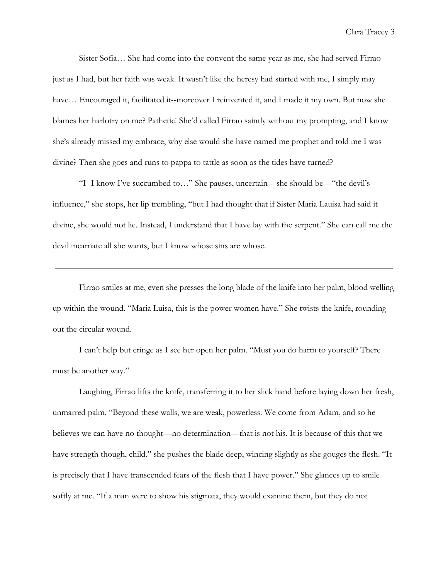Sister Sofia… She had come into the convent the same year as me, she had served Firrao just as I had, but her faith was weak. It wasn't like the heresy had started with me, I simply may have... Encouraged it, facilitated it--moreover I reinvented it, and I made it my own. But now she blames her harlotry on me? Pathetic! She'd called Firrao saintly without my prompting, and I know she's already missed my embrace, why else would she have named me prophet and told me I was divine? Then she goes and runs to pappa to tattle as soon as the tides have turned?

"I- I know I've succumbed to…" She pauses, uncertain—she should be—"the devil's influence," she stops, her lip trembling, "but I had thought that if Sister Maria Lauisa had said it divine, she would not lie. Instead, I understand that I have lay with the serpent." She can call me the devil incarnate all she wants, but I know whose sins are whose.

Firrao smiles at me, even she presses the long blade of the knife into her palm, blood welling up within the wound. "Maria Luisa, this is the power women have." She twists the knife, rounding out the circular wound.

I can't help but cringe as I see her open her palm. "Must you do harm to yourself? There must be another way."

Laughing, Firrao lifts the knife, transferring it to her slick hand before laying down her fresh, unmarred palm. "Beyond these walls, we are weak, powerless. We come from Adam, and so he believes we can have no thought—no determination—that is not his. It is because of this that we have strength though, child." she pushes the blade deep, wincing slightly as she gouges the flesh. "It is precisely that I have transcended fears of the flesh that I have power." She glances up to smile softly at me. "If a man were to show his stigmata, they would examine them, but they do not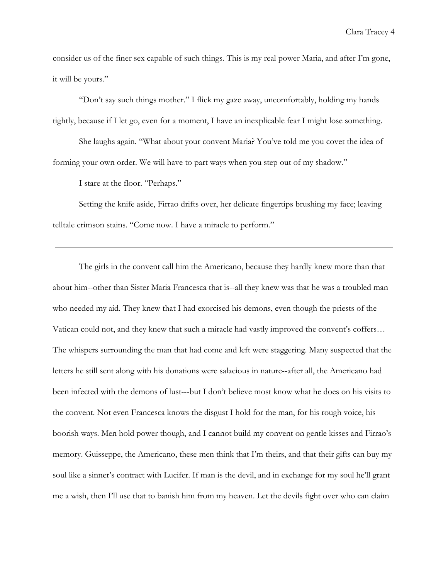consider us of the finer sex capable of such things. This is my real power Maria, and after I'm gone, it will be yours."

"Don't say such things mother." I flick my gaze away, uncomfortably, holding my hands tightly, because if I let go, even for a moment, I have an inexplicable fear I might lose something.

She laughs again. "What about your convent Maria? You've told me you covet the idea of forming your own order. We will have to part ways when you step out of my shadow."

I stare at the floor. "Perhaps."

Setting the knife aside, Firrao drifts over, her delicate fingertips brushing my face; leaving telltale crimson stains. "Come now. I have a miracle to perform."

The girls in the convent call him the Americano, because they hardly knew more than that about him--other than Sister Maria Francesca that is--all they knew was that he was a troubled man who needed my aid. They knew that I had exorcised his demons, even though the priests of the Vatican could not, and they knew that such a miracle had vastly improved the convent's coffers… The whispers surrounding the man that had come and left were staggering. Many suspected that the letters he still sent along with his donations were salacious in nature--after all, the Americano had been infected with the demons of lust---but I don't believe most know what he does on his visits to the convent. Not even Francesca knows the disgust I hold for the man, for his rough voice, his boorish ways. Men hold power though, and I cannot build my convent on gentle kisses and Firrao's memory. Guisseppe, the Americano, these men think that I'm theirs, and that their gifts can buy my soul like a sinner's contract with Lucifer. If man is the devil, and in exchange for my soul he'll grant me a wish, then I'll use that to banish him from my heaven. Let the devils fight over who can claim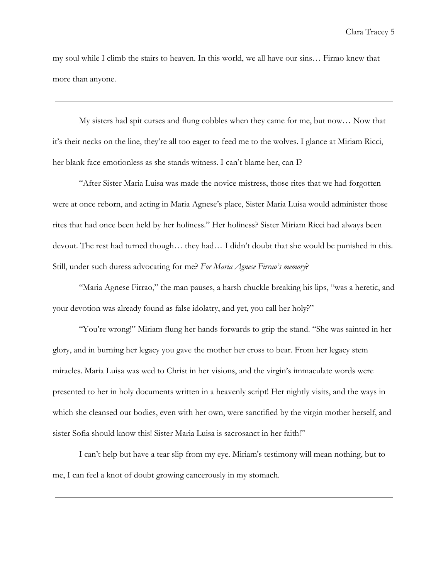my soul while I climb the stairs to heaven. In this world, we all have our sins… Firrao knew that more than anyone.

My sisters had spit curses and flung cobbles when they came for me, but now… Now that it's their necks on the line, they're all too eager to feed me to the wolves. I glance at Miriam Ricci, her blank face emotionless as she stands witness. I can't blame her, can I?

"After Sister Maria Luisa was made the novice mistress, those rites that we had forgotten were at once reborn, and acting in Maria Agnese's place, Sister Maria Luisa would administer those rites that had once been held by her holiness." Her holiness? Sister Miriam Ricci had always been devout. The rest had turned though… they had… I didn't doubt that she would be punished in this. Still, under such duress advocating for me? *For Maria Agnese Firrao's memory*?

"Maria Agnese Firrao," the man pauses, a harsh chuckle breaking his lips, "was a heretic, and your devotion was already found as false idolatry, and yet, you call her holy?"

"You're wrong!" Miriam flung her hands forwards to grip the stand. "She was sainted in her glory, and in burning her legacy you gave the mother her cross to bear. From her legacy stem miracles. Maria Luisa was wed to Christ in her visions, and the virgin's immaculate words were presented to her in holy documents written in a heavenly script! Her nightly visits, and the ways in which she cleansed our bodies, even with her own, were sanctified by the virgin mother herself, and sister Sofia should know this! Sister Maria Luisa is sacrosanct in her faith!"

I can't help but have a tear slip from my eye. Miriam's testimony will mean nothing, but to me, I can feel a knot of doubt growing cancerously in my stomach.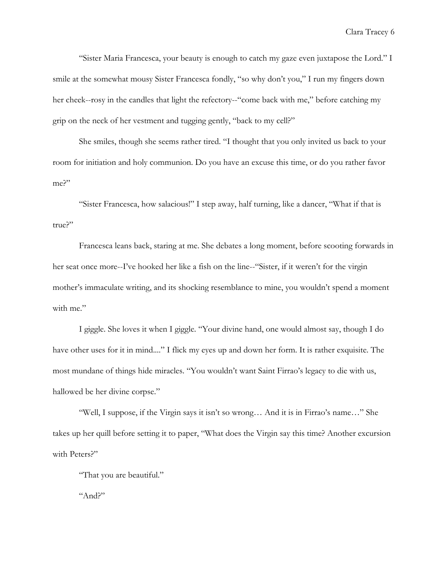"Sister Maria Francesca, your beauty is enough to catch my gaze even juxtapose the Lord." I smile at the somewhat mousy Sister Francesca fondly, "so why don't you," I run my fingers down her cheek--rosy in the candles that light the refectory--"come back with me," before catching my grip on the neck of her vestment and tugging gently, "back to my cell?"

She smiles, though she seems rather tired. "I thought that you only invited us back to your room for initiation and holy communion. Do you have an excuse this time, or do you rather favor me?"

"Sister Francesca, how salacious!" I step away, half turning, like a dancer, "What if that is true?"

Francesca leans back, staring at me. She debates a long moment, before scooting forwards in her seat once more--I've hooked her like a fish on the line--"Sister, if it weren't for the virgin mother's immaculate writing, and its shocking resemblance to mine, you wouldn't spend a moment with me."

I giggle. She loves it when I giggle. "Your divine hand, one would almost say, though I do have other uses for it in mind...." I flick my eyes up and down her form. It is rather exquisite. The most mundane of things hide miracles. "You wouldn't want Saint Firrao's legacy to die with us, hallowed be her divine corpse."

"Well, I suppose, if the Virgin says it isn't so wrong… And it is in Firrao's name…" She takes up her quill before setting it to paper, "What does the Virgin say this time? Another excursion with Peters?"

"That you are beautiful."

"And?"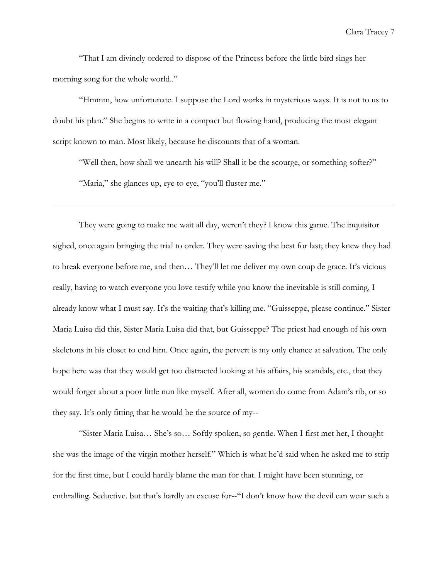"That I am divinely ordered to dispose of the Princess before the little bird sings her morning song for the whole world.."

"Hmmm, how unfortunate. I suppose the Lord works in mysterious ways. It is not to us to doubt his plan." She begins to write in a compact but flowing hand, producing the most elegant script known to man. Most likely, because he discounts that of a woman.

"Well then, how shall we unearth his will? Shall it be the scourge, or something softer?" "Maria," she glances up, eye to eye, "you'll fluster me."

They were going to make me wait all day, weren't they? I know this game. The inquisitor sighed, once again bringing the trial to order. They were saving the best for last; they knew they had to break everyone before me, and then… They'll let me deliver my own coup de grace. It's vicious really, having to watch everyone you love testify while you know the inevitable is still coming, I already know what I must say. It's the waiting that's killing me. "Guisseppe, please continue." Sister Maria Luisa did this, Sister Maria Luisa did that, but Guisseppe? The priest had enough of his own skeletons in his closet to end him. Once again, the pervert is my only chance at salvation. The only hope here was that they would get too distracted looking at his affairs, his scandals, etc., that they would forget about a poor little nun like myself. After all, women do come from Adam's rib, or so they say. It's only fitting that he would be the source of my--

"Sister Maria Luisa… She's so… Softly spoken, so gentle. When I first met her, I thought she was the image of the virgin mother herself." Which is what he'd said when he asked me to strip for the first time, but I could hardly blame the man for that. I might have been stunning, or enthralling. Seductive. but that's hardly an excuse for--"I don't know how the devil can wear such a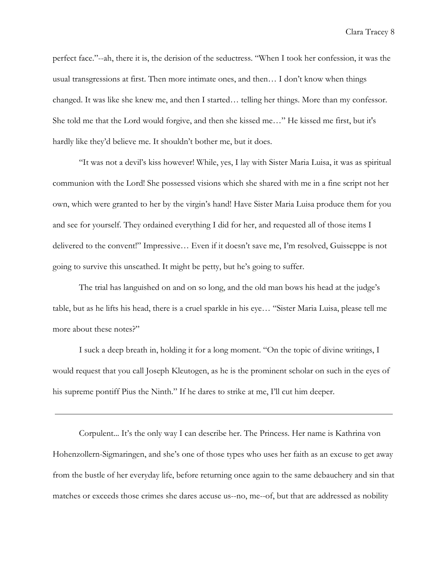perfect face."--ah, there it is, the derision of the seductress. "When I took her confession, it was the usual transgressions at first. Then more intimate ones, and then… I don't know when things changed. It was like she knew me, and then I started… telling her things. More than my confessor. She told me that the Lord would forgive, and then she kissed me…" He kissed me first, but it's hardly like they'd believe me. It shouldn't bother me, but it does.

"It was not a devil's kiss however! While, yes, I lay with Sister Maria Luisa, it was as spiritual communion with the Lord! She possessed visions which she shared with me in a fine script not her own, which were granted to her by the virgin's hand! Have Sister Maria Luisa produce them for you and see for yourself. They ordained everything I did for her, and requested all of those items I delivered to the convent!" Impressive… Even if it doesn't save me, I'm resolved, Guisseppe is not going to survive this unscathed. It might be petty, but he's going to suffer.

The trial has languished on and on so long, and the old man bows his head at the judge's table, but as he lifts his head, there is a cruel sparkle in his eye… "Sister Maria Luisa, please tell me more about these notes?"

I suck a deep breath in, holding it for a long moment. "On the topic of divine writings, I would request that you call Joseph Kleutogen, as he is the prominent scholar on such in the eyes of his supreme pontiff Pius the Ninth." If he dares to strike at me, I'll cut him deeper.

Corpulent... It's the only way I can describe her. The Princess. Her name is Kathrina von Hohenzollern-Sigmaringen, and she's one of those types who uses her faith as an excuse to get away from the bustle of her everyday life, before returning once again to the same debauchery and sin that matches or exceeds those crimes she dares accuse us--no, me--of, but that are addressed as nobility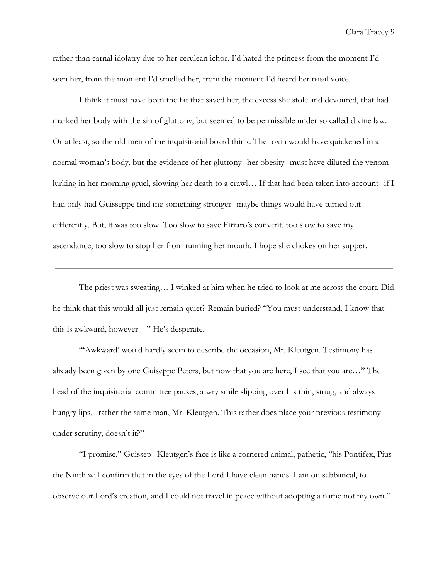rather than carnal idolatry due to her cerulean ichor. I'd hated the princess from the moment I'd seen her, from the moment I'd smelled her, from the moment I'd heard her nasal voice.

I think it must have been the fat that saved her; the excess she stole and devoured, that had marked her body with the sin of gluttony, but seemed to be permissible under so called divine law. Or at least, so the old men of the inquisitorial board think. The toxin would have quickened in a normal woman's body, but the evidence of her gluttony--her obesity--must have diluted the venom lurking in her morning gruel, slowing her death to a crawl… If that had been taken into account--if I had only had Guisseppe find me something stronger--maybe things would have turned out differently. But, it was too slow. Too slow to save Firraro's convent, too slow to save my ascendance, too slow to stop her from running her mouth. I hope she chokes on her supper.

The priest was sweating… I winked at him when he tried to look at me across the court. Did he think that this would all just remain quiet? Remain buried? "You must understand, I know that this is awkward, however—" He's desperate.

"'Awkward' would hardly seem to describe the occasion, Mr. Kleutgen. Testimony has already been given by one Guiseppe Peters, but now that you are here, I see that you are…" The head of the inquisitorial committee pauses, a wry smile slipping over his thin, smug, and always hungry lips, "rather the same man, Mr. Kleutgen. This rather does place your previous testimony under scrutiny, doesn't it?"

"I promise," Guissep--Kleutgen's face is like a cornered animal, pathetic, "his Pontifex, Pius the Ninth will confirm that in the eyes of the Lord I have clean hands. I am on sabbatical, to observe our Lord's creation, and I could not travel in peace without adopting a name not my own."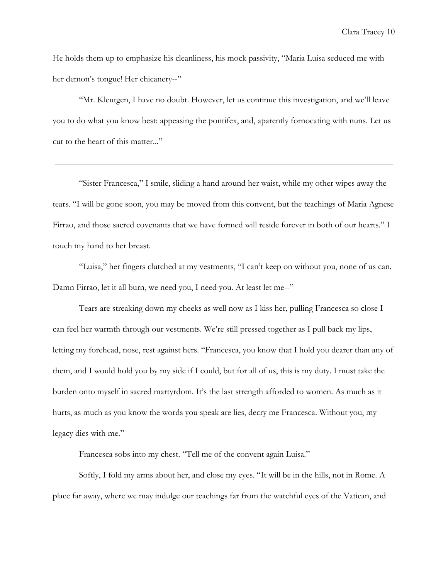He holds them up to emphasize his cleanliness, his mock passivity, "Maria Luisa seduced me with her demon's tongue! Her chicanery--"

"Mr. Kleutgen, I have no doubt. However, let us continue this investigation, and we'll leave you to do what you know best: appeasing the pontifex, and, aparently fornocating with nuns. Let us cut to the heart of this matter..."

"Sister Francesca," I smile, sliding a hand around her waist, while my other wipes away the tears. "I will be gone soon, you may be moved from this convent, but the teachings of Maria Agnese Firrao, and those sacred covenants that we have formed will reside forever in both of our hearts." I touch my hand to her breast.

"Luisa," her fingers clutched at my vestments, "I can't keep on without you, none of us can. Damn Firrao, let it all burn, we need you, I need you. At least let me--"

Tears are streaking down my cheeks as well now as I kiss her, pulling Francesca so close I can feel her warmth through our vestments. We're still pressed together as I pull back my lips, letting my forehead, nose, rest against hers. "Francesca, you know that I hold you dearer than any of them, and I would hold you by my side if I could, but for all of us, this is my duty. I must take the burden onto myself in sacred martyrdom. It's the last strength afforded to women. As much as it hurts, as much as you know the words you speak are lies, decry me Francesca. Without you, my legacy dies with me."

Francesca sobs into my chest. "Tell me of the convent again Luisa."

Softly, I fold my arms about her, and close my eyes. "It will be in the hills, not in Rome. A place far away, where we may indulge our teachings far from the watchful eyes of the Vatican, and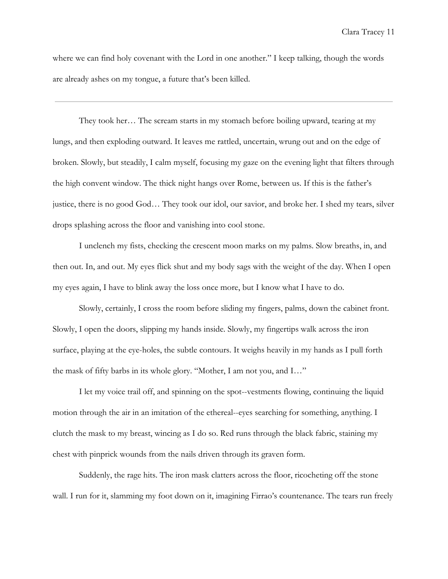where we can find holy covenant with the Lord in one another." I keep talking, though the words are already ashes on my tongue, a future that's been killed.

They took her… The scream starts in my stomach before boiling upward, tearing at my lungs, and then exploding outward. It leaves me rattled, uncertain, wrung out and on the edge of broken. Slowly, but steadily, I calm myself, focusing my gaze on the evening light that filters through the high convent window. The thick night hangs over Rome, between us. If this is the father's justice, there is no good God… They took our idol, our savior, and broke her. I shed my tears, silver drops splashing across the floor and vanishing into cool stone.

I unclench my fists, checking the crescent moon marks on my palms. Slow breaths, in, and then out. In, and out. My eyes flick shut and my body sags with the weight of the day. When I open my eyes again, I have to blink away the loss once more, but I know what I have to do.

Slowly, certainly, I cross the room before sliding my fingers, palms, down the cabinet front. Slowly, I open the doors, slipping my hands inside. Slowly, my fingertips walk across the iron surface, playing at the eye-holes, the subtle contours. It weighs heavily in my hands as I pull forth the mask of fifty barbs in its whole glory. "Mother, I am not you, and I…"

I let my voice trail off, and spinning on the spot--vestments flowing, continuing the liquid motion through the air in an imitation of the ethereal--eyes searching for something, anything. I clutch the mask to my breast, wincing as I do so. Red runs through the black fabric, staining my chest with pinprick wounds from the nails driven through its graven form.

Suddenly, the rage hits. The iron mask clatters across the floor, ricocheting off the stone wall. I run for it, slamming my foot down on it, imagining Firrao's countenance. The tears run freely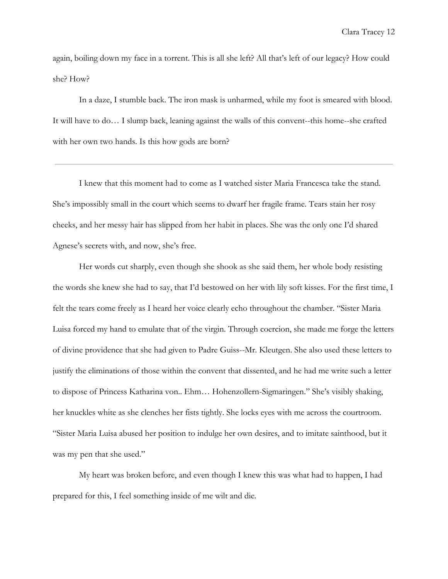again, boiling down my face in a torrent. This is all she left? All that's left of our legacy? How could she? How?

In a daze, I stumble back. The iron mask is unharmed, while my foot is smeared with blood. It will have to do… I slump back, leaning against the walls of this convent--this home--she crafted with her own two hands. Is this how gods are born?

I knew that this moment had to come as I watched sister Maria Francesca take the stand. She's impossibly small in the court which seems to dwarf her fragile frame. Tears stain her rosy cheeks, and her messy hair has slipped from her habit in places. She was the only one I'd shared Agnese's secrets with, and now, she's free.

Her words cut sharply, even though she shook as she said them, her whole body resisting the words she knew she had to say, that I'd bestowed on her with lily soft kisses. For the first time, I felt the tears come freely as I heard her voice clearly echo throughout the chamber. "Sister Maria Luisa forced my hand to emulate that of the virgin. Through coercion, she made me forge the letters of divine providence that she had given to Padre Guiss--Mr. Kleutgen. She also used these letters to justify the eliminations of those within the convent that dissented, and he had me write such a letter to dispose of Princess Katharina von.. Ehm… Hohenzollern-Sigmaringen." She's visibly shaking, her knuckles white as she clenches her fists tightly. She locks eyes with me across the courtroom. "Sister Maria Luisa abused her position to indulge her own desires, and to imitate sainthood, but it was my pen that she used."

My heart was broken before, and even though I knew this was what had to happen, I had prepared for this, I feel something inside of me wilt and die.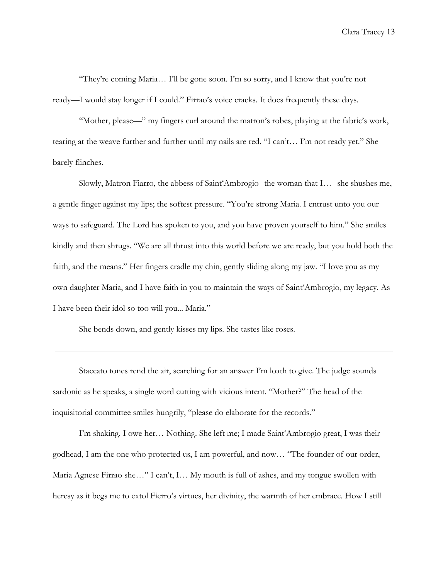"They're coming Maria… I'll be gone soon. I'm so sorry, and I know that you're not ready—I would stay longer if I could." Firrao's voice cracks. It does frequently these days.

"Mother, please—" my fingers curl around the matron's robes, playing at the fabric's work, tearing at the weave further and further until my nails are red. "I can't… I'm not ready yet." She barely flinches.

Slowly, Matron Fiarro, the abbess of Saint'Ambrogio--the woman that I…--she shushes me, a gentle finger against my lips; the softest pressure. "You're strong Maria. I entrust unto you our ways to safeguard. The Lord has spoken to you, and you have proven yourself to him." She smiles kindly and then shrugs. "We are all thrust into this world before we are ready, but you hold both the faith, and the means." Her fingers cradle my chin, gently sliding along my jaw. "I love you as my own daughter Maria, and I have faith in you to maintain the ways of Saint'Ambrogio, my legacy. As I have been their idol so too will you... Maria."

She bends down, and gently kisses my lips. She tastes like roses.

Staccato tones rend the air, searching for an answer I'm loath to give. The judge sounds sardonic as he speaks, a single word cutting with vicious intent. "Mother?" The head of the inquisitorial committee smiles hungrily, "please do elaborate for the records."

I'm shaking. I owe her… Nothing. She left me; I made Saint'Ambrogio great, I was their godhead, I am the one who protected us, I am powerful, and now… "The founder of our order, Maria Agnese Firrao she…" I can't, I… My mouth is full of ashes, and my tongue swollen with heresy as it begs me to extol Fierro's virtues, her divinity, the warmth of her embrace. How I still